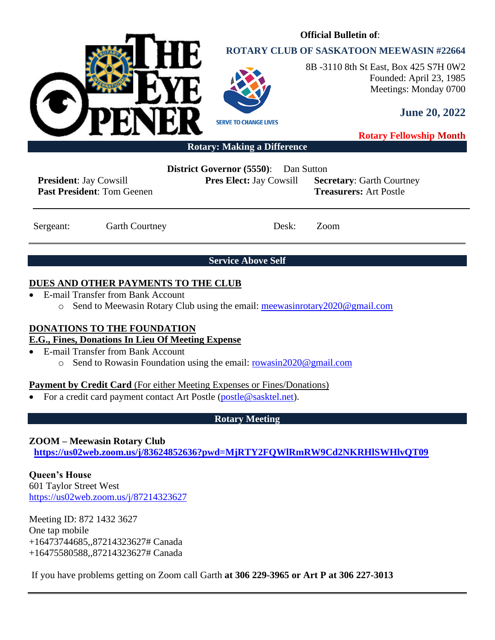

# **ROTARY CLUB OF SASKATOON MEEWASIN #22664**

**Official Bulletin of**:



8B -3110 8th St East, Box 425 S7H 0W2 Founded: April 23, 1985 Meetings: Monday 0700

**June 20, 2022**

**Rotary Fellowship Month**

**Rotary: Making a Difference**

**President**: Jay Cowsill **Past President**: Tom Geenen **District Governor (5550)**: Dan Sutton

**Pres Elect:** Jay Cowsill **Secretary**: Garth Courtney **Treasurers:** Art Postle

Sergeant: Garth Courtney Desk: Zoom

**Service Above Self**

# **DUES AND OTHER PAYMENTS TO THE CLUB**

- E-mail Transfer from Bank Account
	- o Send to Meewasin Rotary Club using the email: [meewasinrotary2020@gmail.com](mailto:meewasinrotary2020@gmail.com)

# **DONATIONS TO THE FOUNDATION**

# **E.G., Fines, Donations In Lieu Of Meeting Expense**

- E-mail Transfer from Bank Account
	- o Send to Rowasin Foundation using the email: [rowasin2020@gmail.com](mailto:rowasin2020@gmail.com)

# **Payment by Credit Card** (For either Meeting Expenses or Fines/Donations)

• For a credit card payment contact Art Postle [\(postle@sasktel.net\)](mailto:postle@sasktel.net).

# **Rotary Meeting**

# **ZOOM – Meewasin Rotary Club**

**[https://us02web.zoom.us/j/83624852636?pwd=MjRTY2FQWlRmRW9Cd2NKRHlSWHlvQT09](https://can01.safelinks.protection.outlook.com/?url=https%3A%2F%2Fus02web.zoom.us%2Fj%2F83624852636%3Fpwd%3DMjRTY2FQWlRmRW9Cd2NKRHlSWHlvQT09&data=04%7C01%7Ccpanko%40commonsenselawyer.com%7Ced41e005c3ab452d217408d8c53a6695%7C652c50d160e04e60a9982b6be68ca4a0%7C0%7C0%7C637476201917572504%7CUnknown%7CTWFpbGZsb3d8eyJWIjoiMC4wLjAwMDAiLCJQIjoiV2luMzIiLCJBTiI6Ik1haWwiLCJXVCI6Mn0%3D%7C3000&sdata=%2BasZ3EBpOHW4P4lXdj%2FC8%2FI8sU%2F5jZjAxSca541DwMc%3D&reserved=0)**

**Queen's House** 601 Taylor Street West <https://us02web.zoom.us/j/87214323627>

Meeting ID: 872 1432 3627 One tap mobile +16473744685,,87214323627# Canada +16475580588,,87214323627# Canada

If you have problems getting on Zoom call Garth **at 306 229-3965 or Art P at 306 227-3013**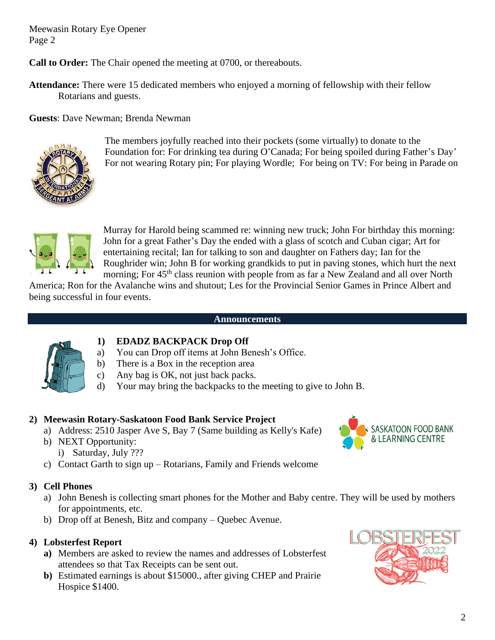**Call to Order:** The Chair opened the meeting at 0700, or thereabouts.

**Attendance:** There were 15 dedicated members who enjoyed a morning of fellowship with their fellow Rotarians and guests.

**Guests**: Dave Newman; Brenda Newman



The members joyfully reached into their pockets (some virtually) to donate to the Foundation for: For drinking tea during O'Canada; For being spoiled during Father's Day' For not wearing Rotary pin; For playing Wordle; For being on TV: For being in Parade on



Murray for Harold being scammed re: winning new truck; John For birthday this morning: John for a great Father's Day the ended with a glass of scotch and Cuban cigar; Art for entertaining recital; Ian for talking to son and daughter on Fathers day; Ian for the Roughrider win; John B for working grandkids to put in paving stones, which hurt the next morning; For  $45<sup>th</sup>$  class reunion with people from as far a New Zealand and all over North

America; Ron for the Avalanche wins and shutout; Les for the Provincial Senior Games in Prince Albert and being successful in four events.

#### **Announcements**



## **1) EDADZ BACKPACK Drop Off**

- a) You can Drop off items at John Benesh's Office.
- b) There is a Box in the reception area
- c) Any bag is OK, not just back packs.
- d) Your may bring the backpacks to the meeting to give to John B.

## **2) Meewasin Rotary-Saskatoon Food Bank Service Project**

- a) Address: 2510 Jasper Ave S, Bay 7 (Same building as Kelly's Kafe)
- b) NEXT Opportunity: i) Saturday, July ???
- c) Contact Garth to sign up Rotarians, Family and Friends welcome
- **3) Cell Phones**
	- a) John Benesh is collecting smart phones for the Mother and Baby centre. They will be used by mothers for appointments, etc.
	- b) Drop off at Benesh, Bitz and company Quebec Avenue.

## **4) Lobsterfest Report**

- **a)** Members are asked to review the names and addresses of Lobsterfest attendees so that Tax Receipts can be sent out.
- **b)** Estimated earnings is about \$15000., after giving CHEP and Prairie Hospice \$1400.





SASKATOON FOOD BANK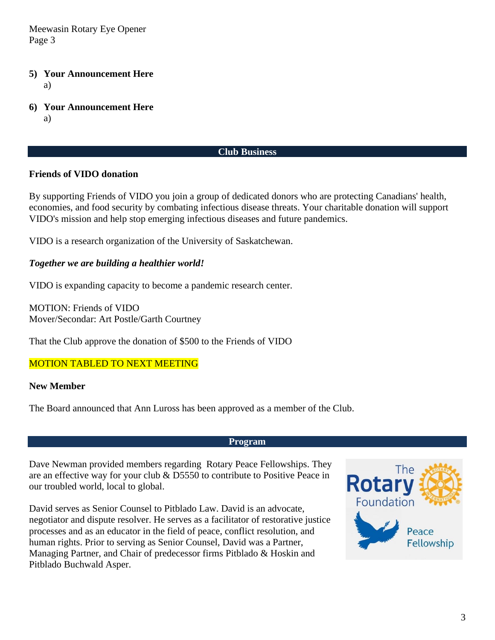- **5) Your Announcement Here** a)
- **6) Your Announcement Here**

a)

### **Club Business**

## **Friends of VIDO donation**

By supporting Friends of VIDO you join a group of dedicated donors who are protecting Canadians' health, economies, and food security by combating infectious disease threats. Your charitable donation will support VIDO's mission and help stop emerging infectious diseases and future pandemics.

VIDO is a research organization of the University of Saskatchewan.

## *Together we are building a healthier world!*

VIDO is expanding capacity to become a pandemic research center.

MOTION: Friends of VIDO Mover/Secondar: Art Postle/Garth Courtney

That the Club approve the donation of \$500 to the Friends of VIDO

## MOTION TABLED TO NEXT MEETING

## **New Member**

The Board announced that Ann Luross has been approved as a member of the Club.

#### **Program**

Dave Newman provided members regarding Rotary Peace Fellowships. They are an effective way for your club & D5550 to contribute to Positive Peace in our troubled world, local to global.

David serves as Senior Counsel to Pitblado Law. David is an advocate, negotiator and dispute resolver. He serves as a facilitator of restorative justice processes and as an educator in the field of peace, conflict resolution, and human rights. Prior to serving as Senior Counsel, David was a Partner, Managing Partner, and Chair of predecessor firms Pitblado & Hoskin and Pitblado Buchwald Asper.

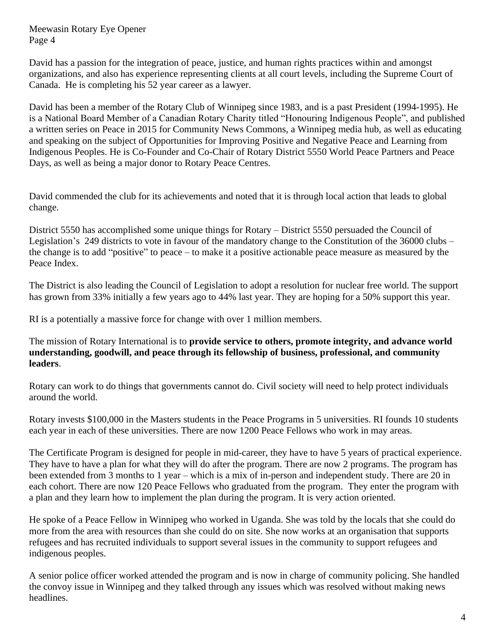David has a passion for the integration of peace, justice, and human rights practices within and amongst organizations, and also has experience representing clients at all court levels, including the Supreme Court of Canada. He is completing his 52 year career as a lawyer.

David has been a member of the Rotary Club of Winnipeg since 1983, and is a past President (1994-1995). He is a National Board Member of a Canadian Rotary Charity titled "Honouring Indigenous People", and published a written series on Peace in 2015 for Community News Commons, a Winnipeg media hub, as well as educating and speaking on the subject of Opportunities for Improving Positive and Negative Peace and Learning from Indigenous Peoples. He is Co-Founder and Co-Chair of Rotary District 5550 World Peace Partners and Peace Days, as well as being a major donor to Rotary Peace Centres.

David commended the club for its achievements and noted that it is through local action that leads to global change.

District 5550 has accomplished some unique things for Rotary – District 5550 persuaded the Council of Legislation's 249 districts to vote in favour of the mandatory change to the Constitution of the 36000 clubs – the change is to add "positive" to peace – to make it a positive actionable peace measure as measured by the Peace Index.

The District is also leading the Council of Legislation to adopt a resolution for nuclear free world. The support has grown from 33% initially a few years ago to 44% last year. They are hoping for a 50% support this year.

RI is a potentially a massive force for change with over 1 million members.

The mission of Rotary International is to **provide service to others, promote integrity, and advance world understanding, goodwill, and peace through its fellowship of business, professional, and community leaders**.

Rotary can work to do things that governments cannot do. Civil society will need to help protect individuals around the world.

Rotary invests \$100,000 in the Masters students in the Peace Programs in 5 universities. RI founds 10 students each year in each of these universities. There are now 1200 Peace Fellows who work in may areas.

The Certificate Program is designed for people in mid-career, they have to have 5 years of practical experience. They have to have a plan for what they will do after the program. There are now 2 programs. The program has been extended from 3 months to 1 year – which is a mix of in-person and independent study. There are 20 in each cohort. There are now 120 Peace Fellows who graduated from the program. They enter the program with a plan and they learn how to implement the plan during the program. It is very action oriented.

He spoke of a Peace Fellow in Winnipeg who worked in Uganda. She was told by the locals that she could do more from the area with resources than she could do on site. She now works at an organisation that supports refugees and has recruited individuals to support several issues in the community to support refugees and indigenous peoples.

A senior police officer worked attended the program and is now in charge of community policing. She handled the convoy issue in Winnipeg and they talked through any issues which was resolved without making news headlines.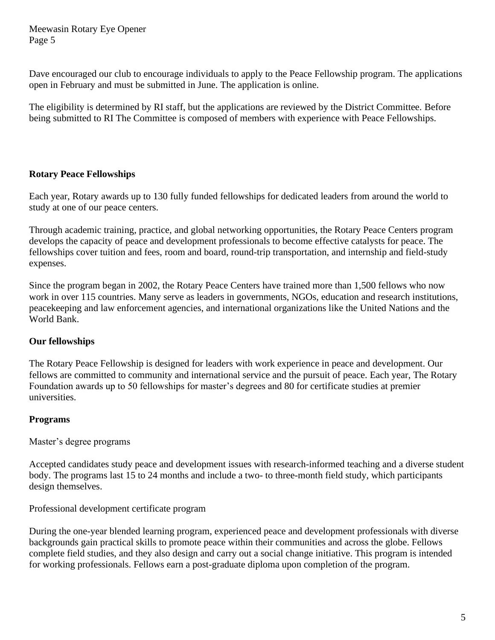Dave encouraged our club to encourage individuals to apply to the Peace Fellowship program. The applications open in February and must be submitted in June. The application is online.

The eligibility is determined by RI staff, but the applications are reviewed by the District Committee. Before being submitted to RI The Committee is composed of members with experience with Peace Fellowships.

# **Rotary Peace Fellowships**

Each year, Rotary awards up to 130 fully funded fellowships for dedicated leaders from around the world to study at one of our peace centers.

Through academic training, practice, and global networking opportunities, the Rotary Peace Centers program develops the capacity of peace and development professionals to become effective catalysts for peace. The fellowships cover tuition and fees, room and board, round-trip transportation, and internship and field-study expenses.

Since the program began in 2002, the Rotary Peace Centers have trained more than 1,500 fellows who now work in over 115 countries. Many serve as leaders in governments, NGOs, education and research institutions, peacekeeping and law enforcement agencies, and international organizations like the United Nations and the World Bank.

## **Our fellowships**

The Rotary Peace Fellowship is designed for leaders with work experience in peace and development. Our fellows are committed to community and international service and the pursuit of peace. Each year, The Rotary Foundation awards up to 50 fellowships for master's degrees and 80 for certificate studies at premier universities.

## **Programs**

Master's degree programs

Accepted candidates study peace and development issues with research-informed teaching and a diverse student body. The programs last 15 to 24 months and include a two- to three-month field study, which participants design themselves.

Professional development certificate program

During the one-year blended learning program, experienced peace and development professionals with diverse backgrounds gain practical skills to promote peace within their communities and across the globe. Fellows complete field studies, and they also design and carry out a social change initiative. This program is intended for working professionals. Fellows earn a post-graduate diploma upon completion of the program.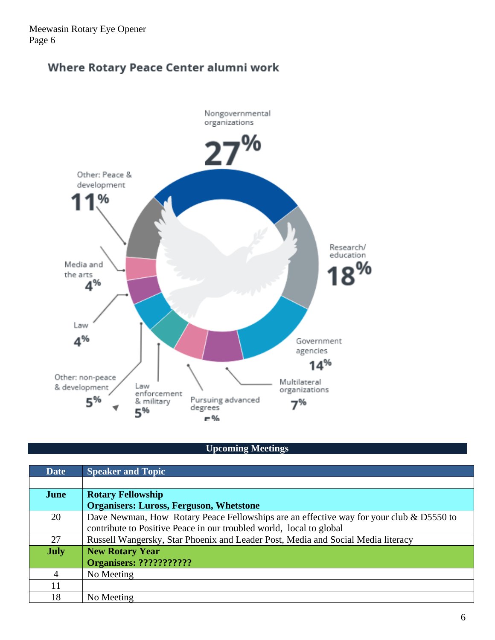# Where Rotary Peace Center alumni work



# **Upcoming Meetings**

| <b>Date</b> | <b>Speaker and Topic</b>                                                                |  |
|-------------|-----------------------------------------------------------------------------------------|--|
|             |                                                                                         |  |
| June        | <b>Rotary Fellowship</b>                                                                |  |
|             | <b>Organisers: Luross, Ferguson, Whetstone</b>                                          |  |
| 20          | Dave Newman, How Rotary Peace Fellowships are an effective way for your club & D5550 to |  |
|             | contribute to Positive Peace in our troubled world, local to global                     |  |
| 27          | Russell Wangersky, Star Phoenix and Leader Post, Media and Social Media literacy        |  |
| <b>July</b> | <b>New Rotary Year</b>                                                                  |  |
|             | <b>Organisers: ????????????</b>                                                         |  |
| 4           | No Meeting                                                                              |  |
| 11          |                                                                                         |  |
| 18          | No Meeting                                                                              |  |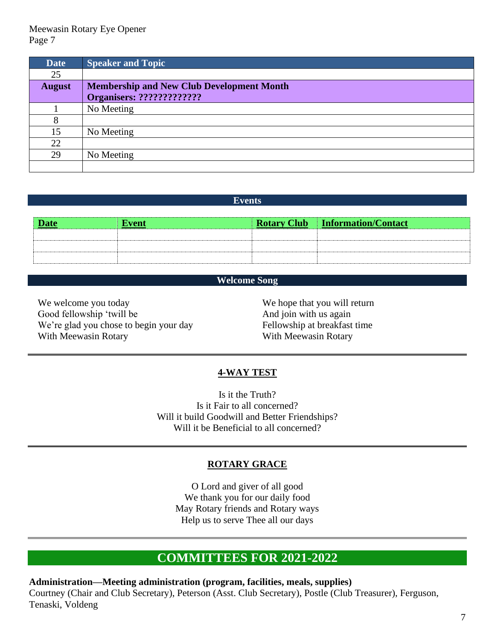| <b>Date</b>   | <b>Speaker and Topic</b>                         |
|---------------|--------------------------------------------------|
| 25            |                                                  |
| <b>August</b> | <b>Membership and New Club Development Month</b> |
|               |                                                  |
|               | No Meeting                                       |
| 8             |                                                  |
| 15            | No Meeting                                       |
| 22            |                                                  |
| 29            | No Meeting                                       |
|               |                                                  |

#### **Events**

| <b>Date</b> | <b>Event</b> | <b>Rotary Club Information/Contact</b> |
|-------------|--------------|----------------------------------------|
|             |              |                                        |
|             |              |                                        |
|             |              |                                        |

## **Welcome Song**

We welcome you today Good fellowship 'twill be We're glad you chose to begin your day With Meewasin Rotary

We hope that you will return And join with us again Fellowship at breakfast time With Meewasin Rotary

#### **4-WAY TEST**

Is it the Truth? Is it Fair to all concerned? Will it build Goodwill and Better Friendships? Will it be Beneficial to all concerned?

#### **ROTARY GRACE**

O Lord and giver of all good We thank you for our daily food May Rotary friends and Rotary ways Help us to serve Thee all our days

# **COMMITTEES FOR 2021-2022**

**Administration—Meeting administration (program, facilities, meals, supplies)** Courtney (Chair and Club Secretary), Peterson (Asst. Club Secretary), Postle (Club Treasurer), Ferguson, Tenaski, Voldeng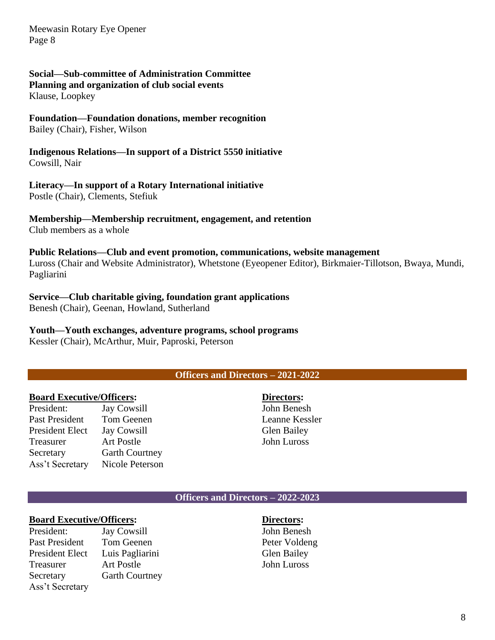# **Social—Sub-committee of Administration Committee**

**Planning and organization of club social events**

Klause, Loopkey

#### **Foundation—Foundation donations, member recognition** Bailey (Chair), Fisher, Wilson

**Indigenous Relations—In support of a District 5550 initiative** Cowsill, Nair

# **Literacy—In support of a Rotary International initiative**

Postle (Chair), Clements, Stefiuk

# **Membership—Membership recruitment, engagement, and retention**

Club members as a whole

## **Public Relations—Club and event promotion, communications, website management**

Luross (Chair and Website Administrator), Whetstone (Eyeopener Editor), Birkmaier-Tillotson, Bwaya, Mundi, Pagliarini

# **Service—Club charitable giving, foundation grant applications**

Benesh (Chair), Geenan, Howland, Sutherland

# **Youth—Youth exchanges, adventure programs, school programs**

Kessler (Chair), McArthur, Muir, Paproski, Peterson

# **Officers and Directors – 2021-2022**

# **Board Executive/Officers:**

| President:             | <b>Jay Cowsill</b>    |
|------------------------|-----------------------|
| <b>Past President</b>  | Tom Geenen            |
| <b>President Elect</b> | <b>Jay Cowsill</b>    |
| Treasurer              | <b>Art Postle</b>     |
| Secretary              | <b>Garth Courtney</b> |
| Ass't Secretary        | Nicole Peterson       |

**Directors:** John Benesh Leanne Kessler Glen Bailey John Luross

#### **Officers and Directors – 2022-2023**

## **Board Executive/Officers:**

President: Jay Cowsill Past President Tom Geenen President Elect Luis Pagliarini Treasurer Art Postle Secretary Garth Courtney Ass't Secretary

#### **Directors:** John Benesh Peter Voldeng Glen Bailey John Luross